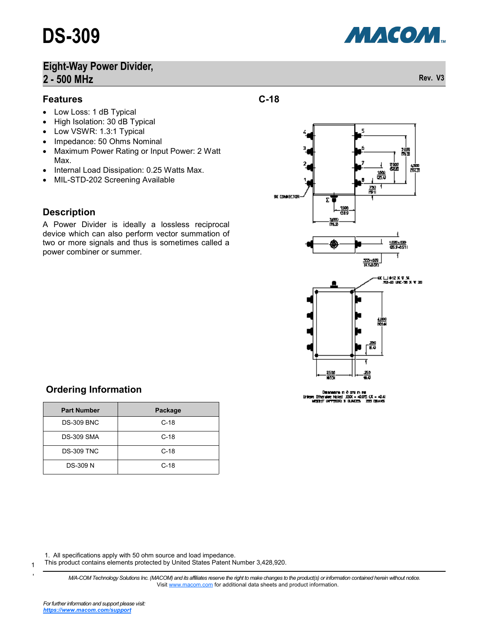#### **Features**

- Low Loss: 1 dB Typical
- High Isolation: 30 dB Typical
- Low VSWR: 1.3:1 Typical
- Impedance: 50 Ohms Nominal
- Maximum Power Rating or Input Power: 2 Watt Max.
- Internal Load Dissipation: 0.25 Watts Max.
- MIL-STD-202 Screening Available

#### **Description**

A Power Divider is ideally a lossless reciprocal device which can also perform vector summation of two or more signals and thus is sometimes called a power combiner or summer.



**C-18**

### **Ordering Information**

| <b>Part Number</b> | Package |
|--------------------|---------|
| <b>DS-309 BNC</b>  | $C-18$  |
| <b>DS-309 SMA</b>  | $C-18$  |
| <b>DS-309 TNC</b>  | $C-18$  |
| <b>DS-309 N</b>    | $C-18$  |

1. All specifications apply with 50 ohm source and load impedance.

This product contains elements protected by United States Patent Number 3,428,920.

*M/A-COM Technology Solutions Inc. (MACOM) and its affiliates reserve the right to make changes to the product(s) or information contained herein without notice.*  Visit [www.macom.com](http://www.macom.com/) for additional data sheets and product information.



1

1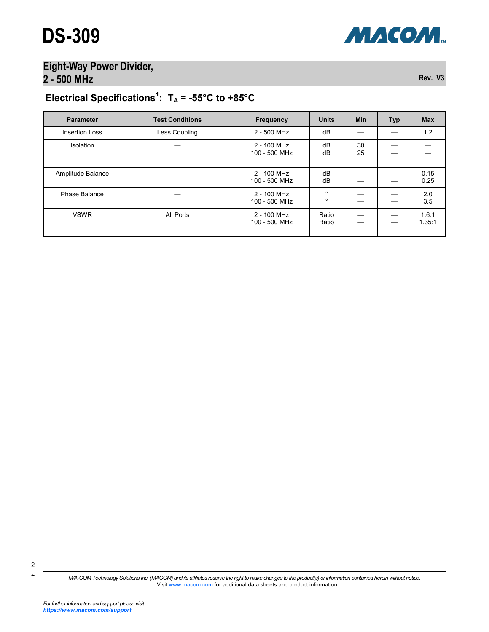

# Electrical Specifications<sup>1</sup>:  $T_A = -55^{\circ}C$  to  $+85^{\circ}C$

| <b>Parameter</b>      | <b>Test Conditions</b> | <b>Frequency</b>             | <b>Units</b>       | <b>Min</b> | Typ | <b>Max</b>      |
|-----------------------|------------------------|------------------------------|--------------------|------------|-----|-----------------|
| <b>Insertion Loss</b> | Less Coupling          | 2 - 500 MHz                  | dB                 |            |     | 1.2             |
| Isolation             |                        | 2 - 100 MHz<br>100 - 500 MHz | dB<br>dB           | 30<br>25   |     |                 |
| Amplitude Balance     |                        | 2 - 100 MHz<br>100 - 500 MHz | dB<br>dB           |            |     | 0.15<br>0.25    |
| Phase Balance         |                        | 2 - 100 MHz<br>100 - 500 MHz | $\circ$<br>$\circ$ |            |     | 2.0<br>3.5      |
| <b>VSWR</b>           | All Ports              | 2 - 100 MHz<br>100 - 500 MHz | Ratio<br>Ratio     |            |     | 1.6:1<br>1.35:1 |

*M/A-COM Technology Solutions Inc. (MACOM) and its affiliates reserve the right to make changes to the product(s) or information contained herein without notice.*  Visit [www.macom.com](http://www.macom.com/) for additional data sheets and product information.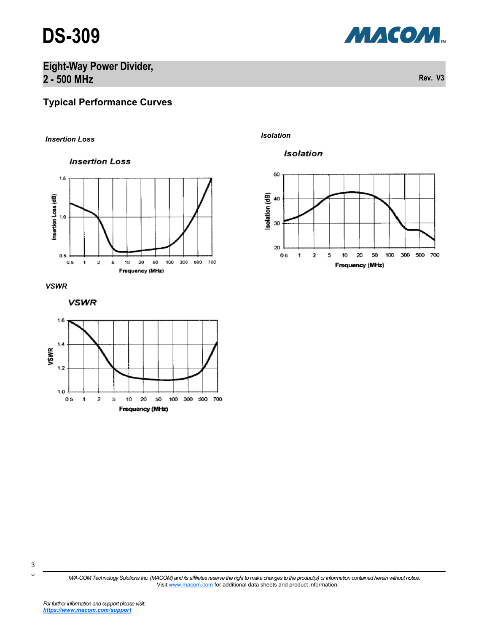



### **Typical Performance Curves**

*Isolation Insertion Loss*













*M/A-COM Technology Solutions Inc. (MACOM) and its affiliates reserve the right to make changes to the product(s) or information contained herein without notice.*  Visit [www.macom.com](http://www.macom.com/) for additional data sheets and product information.